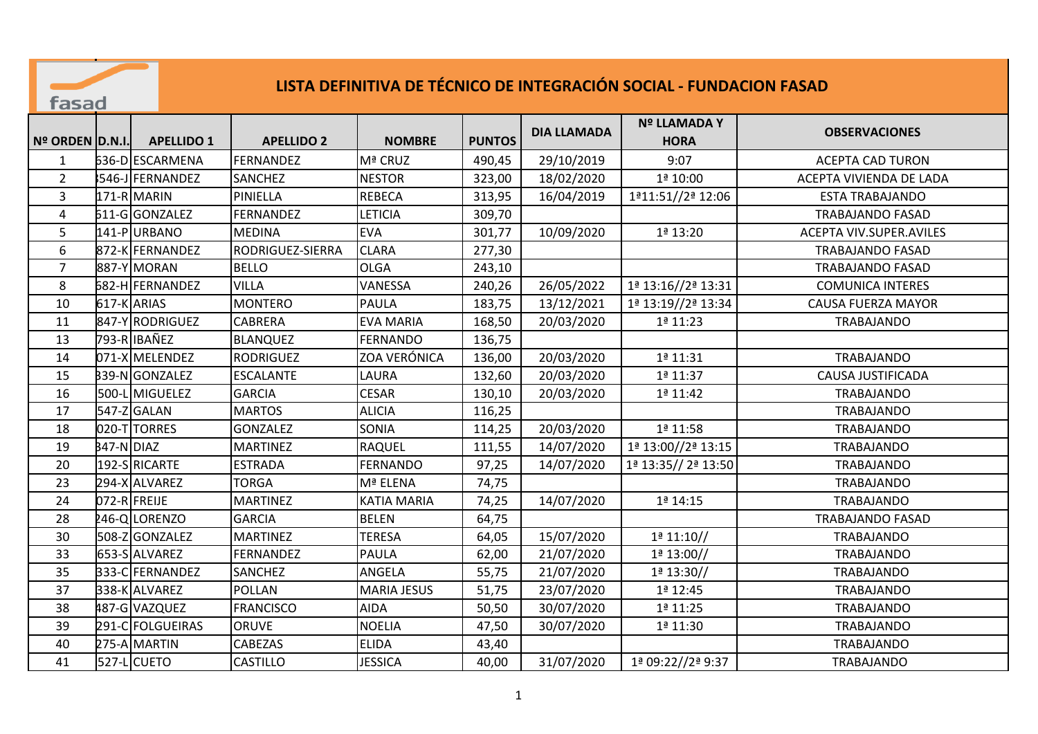|                 | LISTA DEFINITIVA DE TÉCNICO DE INTEGRACIÓN SOCIAL - FUNDACION FASAD<br>fasad |                   |                   |                     |               |                    |                             |                           |  |  |
|-----------------|------------------------------------------------------------------------------|-------------------|-------------------|---------------------|---------------|--------------------|-----------------------------|---------------------------|--|--|
| Nº ORDEN D.N.I. |                                                                              | <b>APELLIDO 1</b> | <b>APELLIDO 2</b> | <b>NOMBRE</b>       | <b>PUNTOS</b> | <b>DIA LLAMADA</b> | Nº LLAMADA Y<br><b>HORA</b> | <b>OBSERVACIONES</b>      |  |  |
| 1               |                                                                              | 636-D ESCARMENA   | <b>FERNANDEZ</b>  | Mª CRUZ             | 490,45        | 29/10/2019         | 9:07                        | <b>ACEPTA CAD TURON</b>   |  |  |
| $\overline{2}$  |                                                                              | 546-J FERNANDEZ   | <b>SANCHEZ</b>    | <b>NESTOR</b>       | 323,00        | 18/02/2020         | 1ª 10:00                    | ACEPTA VIVIENDA DE LADA   |  |  |
| 3               |                                                                              | 171-R MARIN       | PINIELLA          | <b>REBECA</b>       | 313,95        | 16/04/2019         | 1ª11:51//2ª 12:06           | <b>ESTA TRABAJANDO</b>    |  |  |
| 4               |                                                                              | 611-G GONZALEZ    | <b>FERNANDEZ</b>  | <b>LETICIA</b>      | 309,70        |                    |                             | <b>TRABAJANDO FASAD</b>   |  |  |
| 5               |                                                                              | 141-PURBANO       | <b>MEDINA</b>     | <b>EVA</b>          | 301,77        | 10/09/2020         | 1ª 13:20                    | ACEPTA VIV.SUPER.AVILES   |  |  |
| 6               |                                                                              | 872-K FERNANDEZ   | RODRIGUEZ-SIERRA  | <b>CLARA</b>        | 277,30        |                    |                             | <b>TRABAJANDO FASAD</b>   |  |  |
| $\overline{7}$  |                                                                              | 887-Y MORAN       | <b>BELLO</b>      | <b>OLGA</b>         | 243,10        |                    |                             | <b>TRABAJANDO FASAD</b>   |  |  |
| 8               |                                                                              | 682-H FERNANDEZ   | <b>VILLA</b>      | VANESSA             | 240,26        | 26/05/2022         | 1ª 13:16//2ª 13:31          | <b>COMUNICA INTERES</b>   |  |  |
| 10              |                                                                              | 617-K ARIAS       | <b>MONTERO</b>    | <b>PAULA</b>        | 183,75        | 13/12/2021         | 1ª 13:19//2ª 13:34          | <b>CAUSA FUERZA MAYOR</b> |  |  |
| 11              |                                                                              | 847-Y RODRIGUEZ   | <b>CABRERA</b>    | <b>EVA MARIA</b>    | 168,50        | 20/03/2020         | 1ª 11:23                    | TRABAJANDO                |  |  |
| 13              |                                                                              | 793-RIBAÑEZ       | <b>BLANQUEZ</b>   | <b>FERNANDO</b>     | 136,75        |                    |                             |                           |  |  |
| 14              |                                                                              | 071-X MELENDEZ    | <b>RODRIGUEZ</b>  | <b>ZOA VERÓNICA</b> | 136,00        | 20/03/2020         | 1ª 11:31                    | <b>TRABAJANDO</b>         |  |  |
| 15              |                                                                              | 339-N GONZALEZ    | <b>ESCALANTE</b>  | <b>LAURA</b>        | 132,60        | 20/03/2020         | 1ª 11:37                    | <b>CAUSA JUSTIFICADA</b>  |  |  |
| 16              |                                                                              | 500-L MIGUELEZ    | <b>GARCIA</b>     | <b>CESAR</b>        | 130,10        | 20/03/2020         | 1ª 11:42                    | TRABAJANDO                |  |  |
| 17              |                                                                              | 547-Z GALAN       | <b>MARTOS</b>     | <b>ALICIA</b>       | 116,25        |                    |                             | <b>TRABAJANDO</b>         |  |  |
| 18              |                                                                              | 020-TTORRES       | <b>GONZALEZ</b>   | <b>SONIA</b>        | 114,25        | 20/03/2020         | 1ª 11:58                    | <b>TRABAJANDO</b>         |  |  |
| 19              | 847-N DIAZ                                                                   |                   | <b>MARTINEZ</b>   | RAQUEL              | 111,55        | 14/07/2020         | 1ª 13:00//2ª 13:15          | <b>TRABAJANDO</b>         |  |  |
| 20              |                                                                              | 192-SRICARTE      | <b>ESTRADA</b>    | <b>FERNANDO</b>     | 97,25         | 14/07/2020         | 1ª 13:35// 2ª 13:50         | <b>TRABAJANDO</b>         |  |  |
| 23              |                                                                              | 294-X ALVAREZ     | <b>TORGA</b>      | Mª ELENA            | 74,75         |                    |                             | <b>TRABAJANDO</b>         |  |  |
| 24              |                                                                              | 072-RFREIJE       | <b>MARTINEZ</b>   | <b>KATIA MARIA</b>  | 74,25         | 14/07/2020         | 1ª 14:15                    | TRABAJANDO                |  |  |
| 28              |                                                                              | 246-QLORENZO      | <b>GARCIA</b>     | <b>BELEN</b>        | 64,75         |                    |                             | <b>TRABAJANDO FASAD</b>   |  |  |
| 30              |                                                                              | 508-Z GONZALEZ    | <b>MARTINEZ</b>   | <b>TERESA</b>       | 64,05         | 15/07/2020         | 1 <sup>a</sup> 11:10/       | TRABAJANDO                |  |  |
| 33              |                                                                              | 653-SALVAREZ      | <b>FERNANDEZ</b>  | <b>PAULA</b>        | 62,00         | 21/07/2020         | $12 13:00$ //               | <b>TRABAJANDO</b>         |  |  |
| 35              |                                                                              | 333-CFERNANDEZ    | <b>SANCHEZ</b>    | ANGELA              | 55,75         | 21/07/2020         | 1ª 13:30//                  | <b>TRABAJANDO</b>         |  |  |

37 |338-K|ALVAREZ | |POLLAN | MARIA JESUS | 51,75 | 23/07/2020 | 1ª 12:45 | TRABAJANDO 3871898487-G VAZQUEZ FRANCISCO AIDA 50,50 30/07/2020 1ª 11:25 TRABAJANDO 39 291-C FOLGUEIRAS ORUVE NOELIA 17,50 30/07/2020 1ª 11:30 TRABAJANDO 4032882275-A MARTIN CABEZAS ELIDA 43,40 TRABAJANDO 41 |527-L CUETO | CASTILLO | JESSICA | 40,00 | 31/07/2020 | 1ª 09:22//2ª 9:37 | TRABAJANDO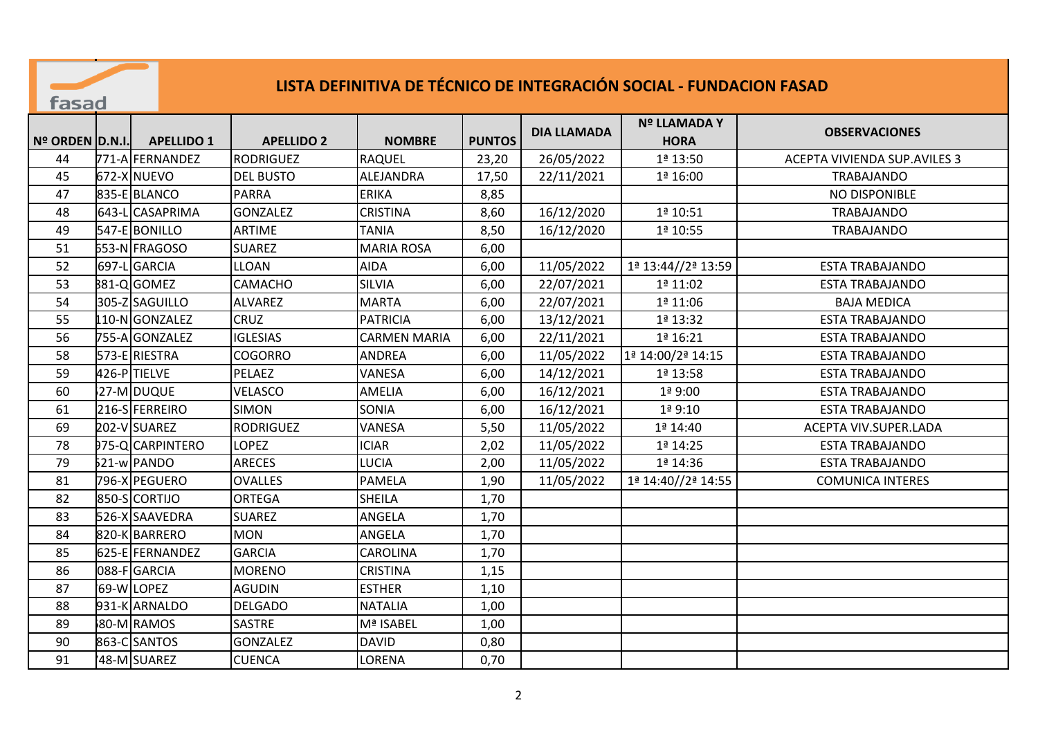## fasad

## **LISTA DEFINITIVA DE TÉCNICO DE INTEGRACIÓN SOCIAL - FUNDACION FASAD**

| Nº ORDEN D.N.I. | <b>APELLIDO 1</b> | <b>APELLIDO 2</b> | <b>NOMBRE</b>       | <b>PUNTOS</b> | <b>DIA LLAMADA</b> | <b>Nº LLAMADA Y</b><br><b>HORA</b> | <b>OBSERVACIONES</b>                |
|-----------------|-------------------|-------------------|---------------------|---------------|--------------------|------------------------------------|-------------------------------------|
| 44              | 771-A FERNANDEZ   | RODRIGUEZ         | <b>RAQUEL</b>       | 23,20         | 26/05/2022         | 1ª 13:50                           | <b>ACEPTA VIVIENDA SUP.AVILES 3</b> |
| 45              | 672-X NUEVO       | <b>DEL BUSTO</b>  | ALEJANDRA           | 17,50         | 22/11/2021         | 1ª 16:00                           | <b>TRABAJANDO</b>                   |
| 47              | 835-E BLANCO      | <b>PARRA</b>      | <b>ERIKA</b>        | 8,85          |                    |                                    | NO DISPONIBLE                       |
| 48              | 643-L CASAPRIMA   | <b>GONZALEZ</b>   | <b>CRISTINA</b>     | 8,60          | 16/12/2020         | 1ª 10:51                           | <b>TRABAJANDO</b>                   |
| 49              | 547-E BONILLO     | <b>ARTIME</b>     | <b>TANIA</b>        | 8,50          | 16/12/2020         | 1ª 10:55                           | TRABAJANDO                          |
| 51              | 553-N FRAGOSO     | <b>SUAREZ</b>     | <b>MARIA ROSA</b>   | 6,00          |                    |                                    |                                     |
| 52              | 697-LGARCIA       | <b>LLOAN</b>      | <b>AIDA</b>         | 6,00          | 11/05/2022         | 1ª 13:44//2ª 13:59                 | <b>ESTA TRABAJANDO</b>              |
| 53              | 881-QGOMEZ        | CAMACHO           | SILVIA              | 6,00          | 22/07/2021         | 1ª 11:02                           | <b>ESTA TRABAJANDO</b>              |
| 54              | 305-Z SAGUILLO    | <b>ALVAREZ</b>    | <b>MARTA</b>        | 6,00          | 22/07/2021         | 1ª 11:06                           | <b>BAJA MEDICA</b>                  |
| 55              | 110-NGONZALEZ     | CRUZ              | <b>PATRICIA</b>     | 6,00          | 13/12/2021         | 1ª 13:32                           | <b>ESTA TRABAJANDO</b>              |
| 56              | 755-AlGONZALEZ    | <b>IGLESIAS</b>   | <b>CARMEN MARIA</b> | 6,00          | 22/11/2021         | 1ª 16:21                           | <b>ESTA TRABAJANDO</b>              |
| 58              | 573-E RIESTRA     | <b>COGORRO</b>    | <b>ANDREA</b>       | 6,00          | 11/05/2022         | 1ª 14:00/2ª 14:15                  | <b>ESTA TRABAJANDO</b>              |
| 59              | 426-PTIELVE       | PELAEZ            | VANESA              | 6,00          | 14/12/2021         | 1ª 13:58                           | <b>ESTA TRABAJANDO</b>              |
| 60              | 27-MOUQUE         | VELASCO           | AMELIA              | 6,00          | 16/12/2021         | 1ª 9:00                            | <b>ESTA TRABAJANDO</b>              |
| 61              | 216-SFERREIRO     | <b>SIMON</b>      | SONIA               | 6,00          | 16/12/2021         | 1ª 9:10                            | <b>ESTA TRABAJANDO</b>              |
| 69              | 202-V SUAREZ      | <b>RODRIGUEZ</b>  | VANESA              | 5,50          | 11/05/2022         | 1ª 14:40                           | ACEPTA VIV.SUPER.LADA               |
| 78              | 975-QCARPINTERO   | <b>LOPEZ</b>      | <b>ICIAR</b>        | 2,02          | 11/05/2022         | 1ª 14:25                           | <b>ESTA TRABAJANDO</b>              |
| 79              | 521-w PANDO       | <b>ARECES</b>     | <b>LUCIA</b>        | 2,00          | 11/05/2022         | 1ª 14:36                           | <b>ESTA TRABAJANDO</b>              |
| 81              | 796-X PEGUERO     | <b>OVALLES</b>    | <b>PAMELA</b>       | 1,90          | 11/05/2022         | 1ª 14:40//2ª 14:55                 | <b>COMUNICA INTERES</b>             |
| 82              | 850-SCORTIJO      | <b>ORTEGA</b>     | <b>SHEILA</b>       | 1,70          |                    |                                    |                                     |
| 83              | 526-X SAAVEDRA    | <b>SUAREZ</b>     | ANGELA              | 1,70          |                    |                                    |                                     |
| 84              | 820-K BARRERO     | <b>MON</b>        | ANGELA              | 1,70          |                    |                                    |                                     |
| 85              | 625-E FERNANDEZ   | <b>GARCIA</b>     | CAROLINA            | 1,70          |                    |                                    |                                     |
| 86              | 088-FIGARCIA      | <b>MORENO</b>     | <b>CRISTINA</b>     | 1,15          |                    |                                    |                                     |
| 87              | 69-WLOPEZ         | <b>AGUDIN</b>     | <b>ESTHER</b>       | 1,10          |                    |                                    |                                     |
| 88              | 931-K ARNALDO     | <b>DELGADO</b>    | <b>NATALIA</b>      | 1,00          |                    |                                    |                                     |
| 89              | 80-MRAMOS         | <b>SASTRE</b>     | Mª ISABEL           | 1,00          |                    |                                    |                                     |
| 90              | 863-CSANTOS       | <b>GONZALEZ</b>   | <b>DAVID</b>        | 0,80          |                    |                                    |                                     |
| 91              | '48-M SUAREZ      | <b>CUENCA</b>     | LORENA              | 0,70          |                    |                                    |                                     |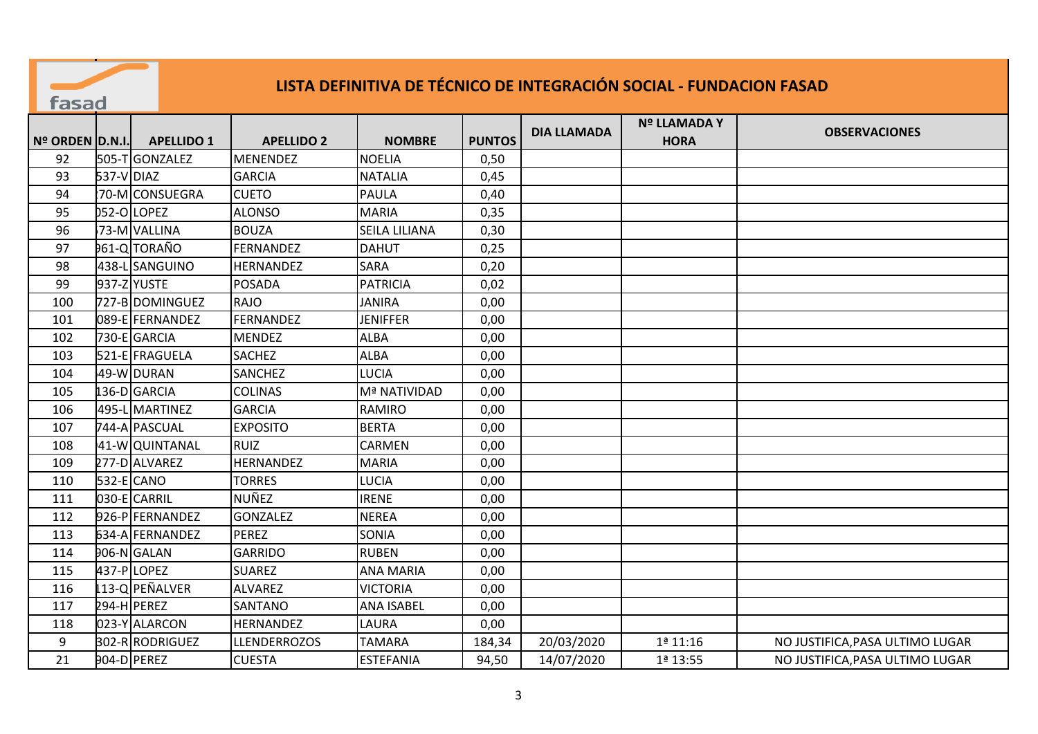| LISTA DEFINITIVA DE TÉCNICO DE INTEGRACIÓN SOCIAL - FUNDACION FASAD<br>fasad |            |                   |                     |                      |               |                    |                             |                                 |  |
|------------------------------------------------------------------------------|------------|-------------------|---------------------|----------------------|---------------|--------------------|-----------------------------|---------------------------------|--|
| Nº ORDEN D.N.I.                                                              |            | <b>APELLIDO 1</b> | <b>APELLIDO 2</b>   | <b>NOMBRE</b>        | <b>PUNTOS</b> | <b>DIA LLAMADA</b> | Nº LLAMADA Y<br><b>HORA</b> | <b>OBSERVACIONES</b>            |  |
| 92                                                                           |            | 505-TGONZALEZ     | <b>MENENDEZ</b>     | <b>NOELIA</b>        | 0,50          |                    |                             |                                 |  |
| 93                                                                           | 537-V DIAZ |                   | <b>GARCIA</b>       | <b>NATALIA</b>       | 0,45          |                    |                             |                                 |  |
| 94                                                                           |            | 70-MCONSUEGRA     | <b>CUETO</b>        | <b>PAULA</b>         | 0,40          |                    |                             |                                 |  |
| 95                                                                           |            | 052-OLOPEZ        | <b>ALONSO</b>       | <b>MARIA</b>         | 0,35          |                    |                             |                                 |  |
| 96                                                                           |            | 73-M VALLINA      | <b>BOUZA</b>        | <b>SEILA LILIANA</b> | 0,30          |                    |                             |                                 |  |
| 97                                                                           |            | 961-Q TORAÑO      | <b>FERNANDEZ</b>    | <b>DAHUT</b>         | 0,25          |                    |                             |                                 |  |
| 98                                                                           |            | 438-LSANGUINO     | <b>HERNANDEZ</b>    | <b>SARA</b>          | 0,20          |                    |                             |                                 |  |
| 99                                                                           |            | 937-Z YUSTE       | <b>POSADA</b>       | <b>PATRICIA</b>      | 0,02          |                    |                             |                                 |  |
| 100                                                                          |            | 727-B DOMINGUEZ   | RAJO                | <b>JANIRA</b>        | 0,00          |                    |                             |                                 |  |
| 101                                                                          |            | 089-E FERNANDEZ   | FERNANDEZ           | <b>JENIFFER</b>      | 0,00          |                    |                             |                                 |  |
| 102                                                                          |            | 730-E GARCIA      | <b>MENDEZ</b>       | <b>ALBA</b>          | 0,00          |                    |                             |                                 |  |
| 103                                                                          |            | 521-E FRAGUELA    | <b>SACHEZ</b>       | <b>ALBA</b>          | 0,00          |                    |                             |                                 |  |
| 104                                                                          |            | 49-W DURAN        | <b>SANCHEZ</b>      | LUCIA                | 0,00          |                    |                             |                                 |  |
| 105                                                                          |            | 136-D GARCIA      | <b>COLINAS</b>      | Mª NATIVIDAD         | 0,00          |                    |                             |                                 |  |
| 106                                                                          |            | 495-L MARTINEZ    | <b>GARCIA</b>       | <b>RAMIRO</b>        | 0,00          |                    |                             |                                 |  |
| 107                                                                          |            | 744-A PASCUAL     | <b>EXPOSITO</b>     | <b>BERTA</b>         | 0,00          |                    |                             |                                 |  |
| 108                                                                          |            | 41-W QUINTANAL    | <b>RUIZ</b>         | <b>CARMEN</b>        | 0,00          |                    |                             |                                 |  |
| 109                                                                          |            | 277-D ALVAREZ     | HERNANDEZ           | <b>MARIA</b>         | 0,00          |                    |                             |                                 |  |
| 110                                                                          |            | 532-E CANO        | <b>TORRES</b>       | <b>LUCIA</b>         | 0,00          |                    |                             |                                 |  |
| 111                                                                          |            | 030-E CARRIL      | NUÑEZ               | <b>IRENE</b>         | 0,00          |                    |                             |                                 |  |
| 112                                                                          |            | 926-PFERNANDEZ    | GONZALEZ            | <b>NEREA</b>         | 0,00          |                    |                             |                                 |  |
| 113                                                                          |            | 634-A FERNANDEZ   | PEREZ               | <b>SONIA</b>         | 0,00          |                    |                             |                                 |  |
| 114                                                                          |            | 906-N GALAN       | <b>GARRIDO</b>      | <b>RUBEN</b>         | 0,00          |                    |                             |                                 |  |
| 115                                                                          |            | 437-PLOPEZ        | <b>SUAREZ</b>       | <b>ANA MARIA</b>     | 0,00          |                    |                             |                                 |  |
| 116                                                                          |            | 113-Q PEÑALVER    | <b>ALVAREZ</b>      | <b>VICTORIA</b>      | 0,00          |                    |                             |                                 |  |
| 117                                                                          |            | 294-H PEREZ       | SANTANO             | <b>ANA ISABEL</b>    | 0,00          |                    |                             |                                 |  |
| 118                                                                          |            | 023-Y ALARCON     | HERNANDEZ           | <b>LAURA</b>         | 0,00          |                    |                             |                                 |  |
| 9                                                                            |            | 302-RRODRIGUEZ    | <b>LLENDERROZOS</b> | <b>TAMARA</b>        | 184,34        | 20/03/2020         | 1ª 11:16                    | NO JUSTIFICA, PASA ULTIMO LUGAR |  |
| 21                                                                           |            | 904-D PEREZ       | <b>CUESTA</b>       | <b>ESTEFANIA</b>     | 94,50         | 14/07/2020         | 1ª 13:55                    | NO JUSTIFICA, PASA ULTIMO LUGAR |  |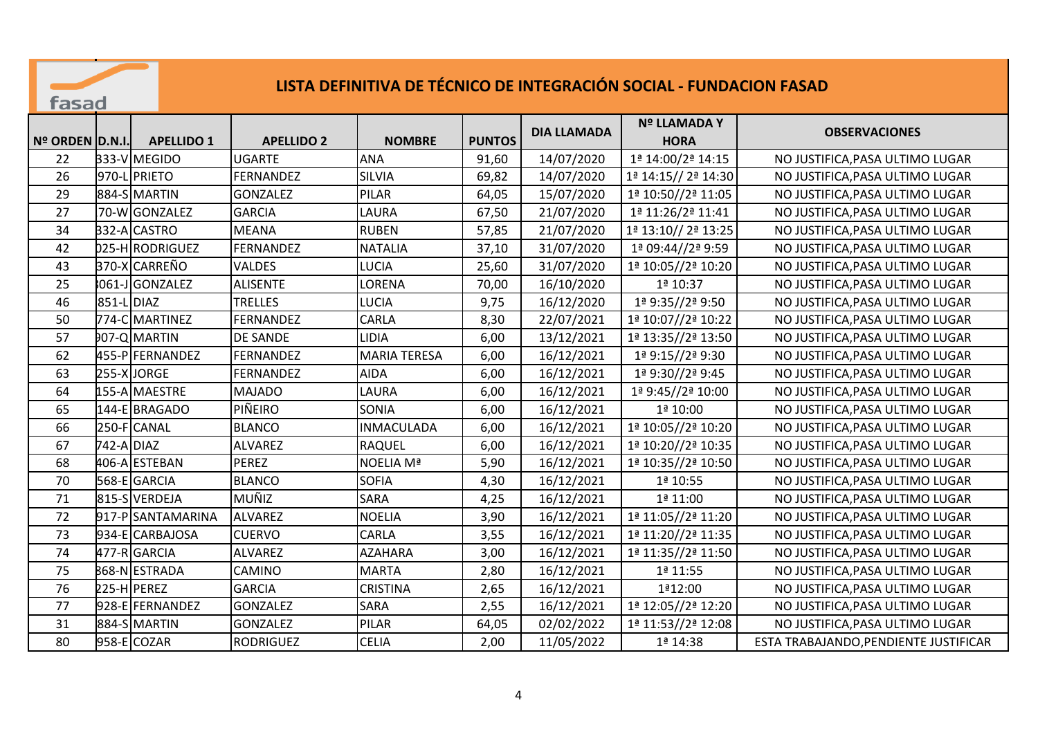## **LISTA DEFINITIVA DE TÉCNICO DE INTEGRACIÓN SOCIAL - FUNDACION FASAD**

fasad

|                     |            |                   |                   |                     |               | <b>DIA LLAMADA</b> | Nº LLAMADA Y        | <b>OBSERVACIONES</b>                  |
|---------------------|------------|-------------------|-------------------|---------------------|---------------|--------------------|---------------------|---------------------------------------|
| $No$ ORDEN $D.N.I.$ |            | <b>APELLIDO 1</b> | <b>APELLIDO 2</b> | <b>NOMBRE</b>       | <b>PUNTOS</b> |                    | <b>HORA</b>         |                                       |
| 22                  |            | 333-V MEGIDO      | <b>UGARTE</b>     | <b>ANA</b>          | 91,60         | 14/07/2020         | 1ª 14:00/2ª 14:15   | NO JUSTIFICA, PASA ULTIMO LUGAR       |
| 26                  |            | 970-L PRIETO      | FERNANDEZ         | <b>SILVIA</b>       | 69,82         | 14/07/2020         | 1ª 14:15// 2ª 14:30 | NO JUSTIFICA, PASA ULTIMO LUGAR       |
| 29                  |            | 884-SMARTIN       | <b>GONZALEZ</b>   | PILAR               | 64,05         | 15/07/2020         | 1ª 10:50//2ª 11:05  | NO JUSTIFICA, PASA ULTIMO LUGAR       |
| 27                  |            | 70-WGONZALEZ      | <b>GARCIA</b>     | LAURA               | 67,50         | 21/07/2020         | 1ª 11:26/2ª 11:41   | NO JUSTIFICA, PASA ULTIMO LUGAR       |
| 34                  |            | 332-ACASTRO       | <b>MEANA</b>      | <b>RUBEN</b>        | 57,85         | 21/07/2020         | 1ª 13:10// 2ª 13:25 | NO JUSTIFICA, PASA ULTIMO LUGAR       |
| 42                  |            | 025-HRODRIGUEZ    | FERNANDEZ         | <b>NATALIA</b>      | 37,10         | 31/07/2020         | 1ª 09:44//2ª 9:59   | NO JUSTIFICA, PASA ULTIMO LUGAR       |
| 43                  |            | 370-X CARREÑO     | VALDES            | <b>LUCIA</b>        | 25,60         | 31/07/2020         | 1ª 10:05//2ª 10:20  | NO JUSTIFICA, PASA ULTIMO LUGAR       |
| 25                  |            | 8061-J GONZALEZ   | <b>ALISENTE</b>   | LORENA              | 70,00         | 16/10/2020         | 1ª 10:37            | NO JUSTIFICA, PASA ULTIMO LUGAR       |
| 46                  | 851-L DIAZ |                   | <b>TRELLES</b>    | <b>LUCIA</b>        | 9,75          | 16/12/2020         | 1ª 9:35//2ª 9:50    | NO JUSTIFICA, PASA ULTIMO LUGAR       |
| 50                  |            | 774-CMARTINEZ     | <b>FERNANDEZ</b>  | CARLA               | 8,30          | 22/07/2021         | 1ª 10:07//2ª 10:22  | NO JUSTIFICA, PASA ULTIMO LUGAR       |
| 57                  |            | 907-Q MARTIN      | <b>DE SANDE</b>   | <b>LIDIA</b>        | 6,00          | 13/12/2021         | 1ª 13:35//2ª 13:50  | NO JUSTIFICA, PASA ULTIMO LUGAR       |
| 62                  |            | 455-P FERNANDEZ   | FERNANDEZ         | <b>MARIA TERESA</b> | 6,00          | 16/12/2021         | 1ª 9:15//2ª 9:30    | NO JUSTIFICA, PASA ULTIMO LUGAR       |
| 63                  |            | 255-X JORGE       | FERNANDEZ         | <b>AIDA</b>         | 6,00          | 16/12/2021         | 1ª 9:30//2ª 9:45    | NO JUSTIFICA, PASA ULTIMO LUGAR       |
| 64                  |            | 155-A MAESTRE     | <b>MAJADO</b>     | LAURA               | 6,00          | 16/12/2021         | 1ª 9:45//2ª 10:00   | NO JUSTIFICA, PASA ULTIMO LUGAR       |
| 65                  |            | 144-E BRAGADO     | PIÑEIRO           | SONIA               | 6,00          | 16/12/2021         | 1ª 10:00            | NO JUSTIFICA, PASA ULTIMO LUGAR       |
| 66                  |            | 250-F CANAL       | <b>BLANCO</b>     | <b>INMACULADA</b>   | 6,00          | 16/12/2021         | 1ª 10:05//2ª 10:20  | NO JUSTIFICA, PASA ULTIMO LUGAR       |
| 67                  | 742-A DIAZ |                   | <b>ALVAREZ</b>    | <b>RAQUEL</b>       | 6,00          | 16/12/2021         | 1ª 10:20//2ª 10:35  | NO JUSTIFICA, PASA ULTIMO LUGAR       |
| 68                  |            | 406-A ESTEBAN     | PEREZ             | NOELIA Mª           | 5,90          | 16/12/2021         | 1ª 10:35//2ª 10:50  | NO JUSTIFICA, PASA ULTIMO LUGAR       |
| 70                  |            | 568-E GARCIA      | <b>BLANCO</b>     | <b>SOFIA</b>        | 4,30          | 16/12/2021         | 1ª 10:55            | NO JUSTIFICA, PASA ULTIMO LUGAR       |
| 71                  |            | 815-SVERDEJA      | MUÑIZ             | SARA                | 4,25          | 16/12/2021         | 1ª 11:00            | NO JUSTIFICA, PASA ULTIMO LUGAR       |
| 72                  |            | 917-PSANTAMARINA  | <b>ALVAREZ</b>    | <b>NOELIA</b>       | 3,90          | 16/12/2021         | 1ª 11:05//2ª 11:20  | NO JUSTIFICA, PASA ULTIMO LUGAR       |
| 73                  |            | 934-E CARBAJOSA   | <b>CUERVO</b>     | CARLA               | 3,55          | 16/12/2021         | 1ª 11:20//2ª 11:35  | NO JUSTIFICA, PASA ULTIMO LUGAR       |
| 74                  |            | 477-R GARCIA      | <b>ALVAREZ</b>    | <b>AZAHARA</b>      | 3,00          | 16/12/2021         | 1ª 11:35//2ª 11:50  | NO JUSTIFICA, PASA ULTIMO LUGAR       |
| 75                  |            | 868-N ESTRADA     | CAMINO            | <b>MARTA</b>        | 2,80          | 16/12/2021         | $1a$ 11:55          | NO JUSTIFICA, PASA ULTIMO LUGAR       |
| 76                  |            | 225-H PEREZ       | <b>GARCIA</b>     | <b>CRISTINA</b>     | 2,65          | 16/12/2021         | 1ª12:00             | NO JUSTIFICA, PASA ULTIMO LUGAR       |
| 77                  |            | 928-E FERNANDEZ   | <b>GONZALEZ</b>   | SARA                | 2,55          | 16/12/2021         | 1ª 12:05//2ª 12:20  | NO JUSTIFICA, PASA ULTIMO LUGAR       |
| 31                  |            | 884-SMARTIN       | <b>GONZALEZ</b>   | PILAR               | 64,05         | 02/02/2022         | 1ª 11:53//2ª 12:08  | NO JUSTIFICA, PASA ULTIMO LUGAR       |
| 80                  |            | 958-E COZAR       | <b>RODRIGUEZ</b>  | <b>CELIA</b>        | 2,00          | 11/05/2022         | 1ª 14:38            | ESTA TRABAJANDO, PENDIENTE JUSTIFICAR |